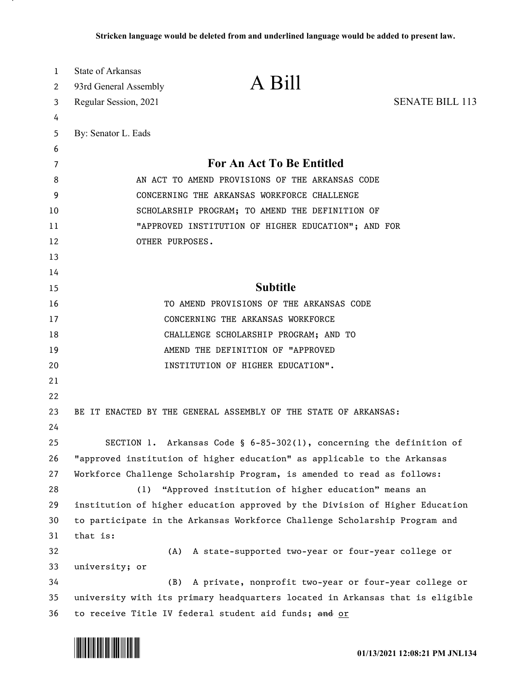| 1        | State of Arkansas     | A Bill                                                                        |                        |
|----------|-----------------------|-------------------------------------------------------------------------------|------------------------|
| 2        | 93rd General Assembly |                                                                               |                        |
| 3        | Regular Session, 2021 |                                                                               | <b>SENATE BILL 113</b> |
| 4        |                       |                                                                               |                        |
| 5        | By: Senator L. Eads   |                                                                               |                        |
| 6        |                       | For An Act To Be Entitled                                                     |                        |
| 7<br>8   |                       | AN ACT TO AMEND PROVISIONS OF THE ARKANSAS CODE                               |                        |
| 9        |                       | CONCERNING THE ARKANSAS WORKFORCE CHALLENGE                                   |                        |
| 10       |                       | SCHOLARSHIP PROGRAM; TO AMEND THE DEFINITION OF                               |                        |
| 11       |                       | "APPROVED INSTITUTION OF HIGHER EDUCATION"; AND FOR                           |                        |
| 12       | OTHER PURPOSES.       |                                                                               |                        |
| 13       |                       |                                                                               |                        |
| 14       |                       |                                                                               |                        |
| 15       |                       | <b>Subtitle</b>                                                               |                        |
| 16       |                       | TO AMEND PROVISIONS OF THE ARKANSAS CODE                                      |                        |
| 17       |                       | CONCERNING THE ARKANSAS WORKFORCE                                             |                        |
| 18       |                       | CHALLENGE SCHOLARSHIP PROGRAM; AND TO                                         |                        |
| 19       |                       | AMEND THE DEFINITION OF "APPROVED                                             |                        |
| 20       |                       | INSTITUTION OF HIGHER EDUCATION".                                             |                        |
| 21       |                       |                                                                               |                        |
| 22       |                       |                                                                               |                        |
| 23       |                       | BE IT ENACTED BY THE GENERAL ASSEMBLY OF THE STATE OF ARKANSAS:               |                        |
| 24       |                       |                                                                               |                        |
| 25       |                       | SECTION 1. Arkansas Code § $6-85-302(1)$ , concerning the definition of       |                        |
| 26       |                       | "approved institution of higher education" as applicable to the Arkansas      |                        |
| 27       |                       | Workforce Challenge Scholarship Program, is amended to read as follows:       |                        |
| 28       |                       | (1) "Approved institution of higher education" means an                       |                        |
| 29       |                       | institution of higher education approved by the Division of Higher Education  |                        |
| 30       |                       | to participate in the Arkansas Workforce Challenge Scholarship Program and    |                        |
| 31       | that is:              |                                                                               |                        |
| 32       | (A)                   | A state-supported two-year or four-year college or                            |                        |
| 33<br>34 | university; or<br>(B) | A private, nonprofit two-year or four-year college or                         |                        |
| 35       |                       | university with its primary headquarters located in Arkansas that is eligible |                        |
| 36       |                       | to receive Title IV federal student aid funds; and or                         |                        |